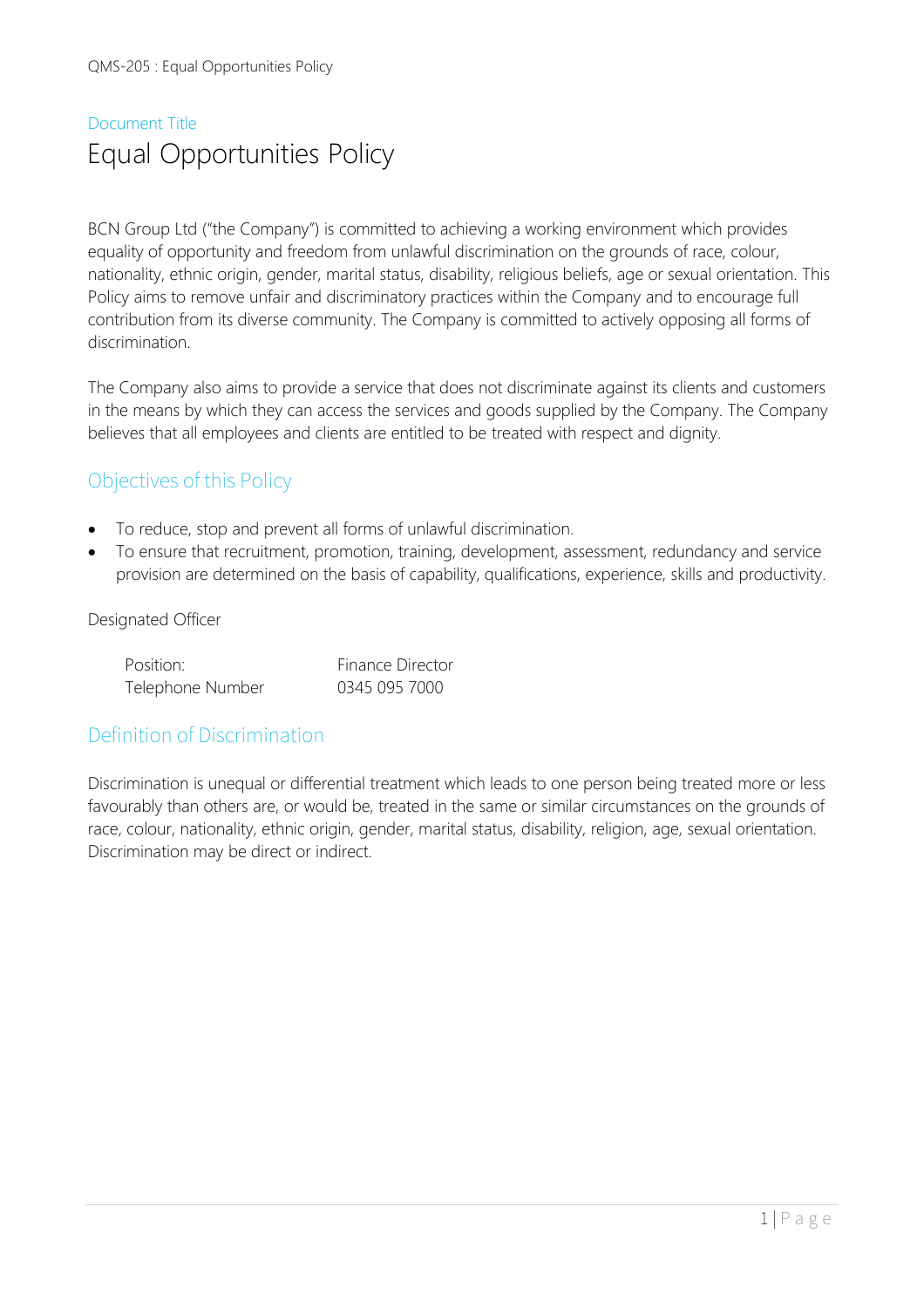# Document Title Equal Opportunities Policy

BCN Group Ltd ("the Company") is committed to achieving a working environment which provides equality of opportunity and freedom from unlawful discrimination on the grounds of race, colour, nationality, ethnic origin, gender, marital status, disability, religious beliefs, age or sexual orientation. This Policy aims to remove unfair and discriminatory practices within the Company and to encourage full contribution from its diverse community. The Company is committed to actively opposing all forms of discrimination.

The Company also aims to provide a service that does not discriminate against its clients and customers in the means by which they can access the services and goods supplied by the Company. The Company believes that all employees and clients are entitled to be treated with respect and dignity.

# Objectives of this Policy

- To reduce, stop and prevent all forms of unlawful discrimination.
- To ensure that recruitment, promotion, training, development, assessment, redundancy and service provision are determined on the basis of capability, qualifications, experience, skills and productivity.

#### Designated Officer

| Position:        | <b>Finance Director</b> |  |
|------------------|-------------------------|--|
| Telephone Number | 0345 095 7000           |  |

# Definition of Discrimination

Discrimination is unequal or differential treatment which leads to one person being treated more or less favourably than others are, or would be, treated in the same or similar circumstances on the grounds of race, colour, nationality, ethnic origin, gender, marital status, disability, religion, age, sexual orientation. Discrimination may be direct or indirect.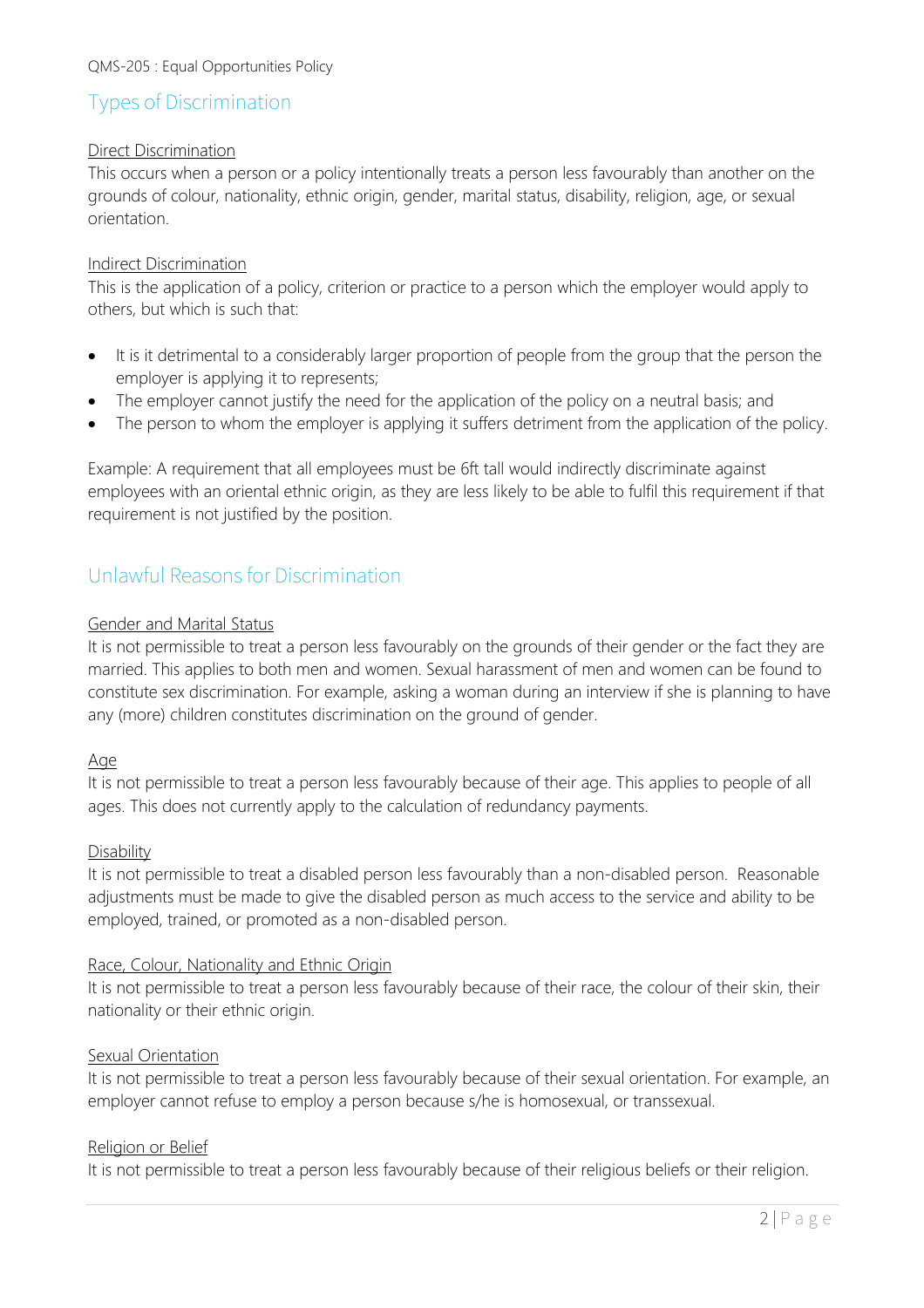# Types of Discrimination

#### Direct Discrimination

This occurs when a person or a policy intentionally treats a person less favourably than another on the grounds of colour, nationality, ethnic origin, gender, marital status, disability, religion, age, or sexual orientation.

#### Indirect Discrimination

This is the application of a policy, criterion or practice to a person which the employer would apply to others, but which is such that:

- It is it detrimental to a considerably larger proportion of people from the group that the person the employer is applying it to represents;
- The employer cannot justify the need for the application of the policy on a neutral basis; and
- The person to whom the employer is applying it suffers detriment from the application of the policy.

Example: A requirement that all employees must be 6ft tall would indirectly discriminate against employees with an oriental ethnic origin, as they are less likely to be able to fulfil this requirement if that requirement is not justified by the position.

# Unlawful Reasons for Discrimination

#### Gender and Marital Status

It is not permissible to treat a person less favourably on the grounds of their gender or the fact they are married. This applies to both men and women. Sexual harassment of men and women can be found to constitute sex discrimination. For example, asking a woman during an interview if she is planning to have any (more) children constitutes discrimination on the ground of gender.

#### Age

It is not permissible to treat a person less favourably because of their age. This applies to people of all ages. This does not currently apply to the calculation of redundancy payments.

#### Disability

It is not permissible to treat a disabled person less favourably than a non-disabled person. Reasonable adjustments must be made to give the disabled person as much access to the service and ability to be employed, trained, or promoted as a non-disabled person.

#### Race, Colour, Nationality and Ethnic Origin

It is not permissible to treat a person less favourably because of their race, the colour of their skin, their nationality or their ethnic origin.

#### Sexual Orientation

It is not permissible to treat a person less favourably because of their sexual orientation. For example, an employer cannot refuse to employ a person because s/he is homosexual, or transsexual.

#### Religion or Belief

It is not permissible to treat a person less favourably because of their religious beliefs or their religion.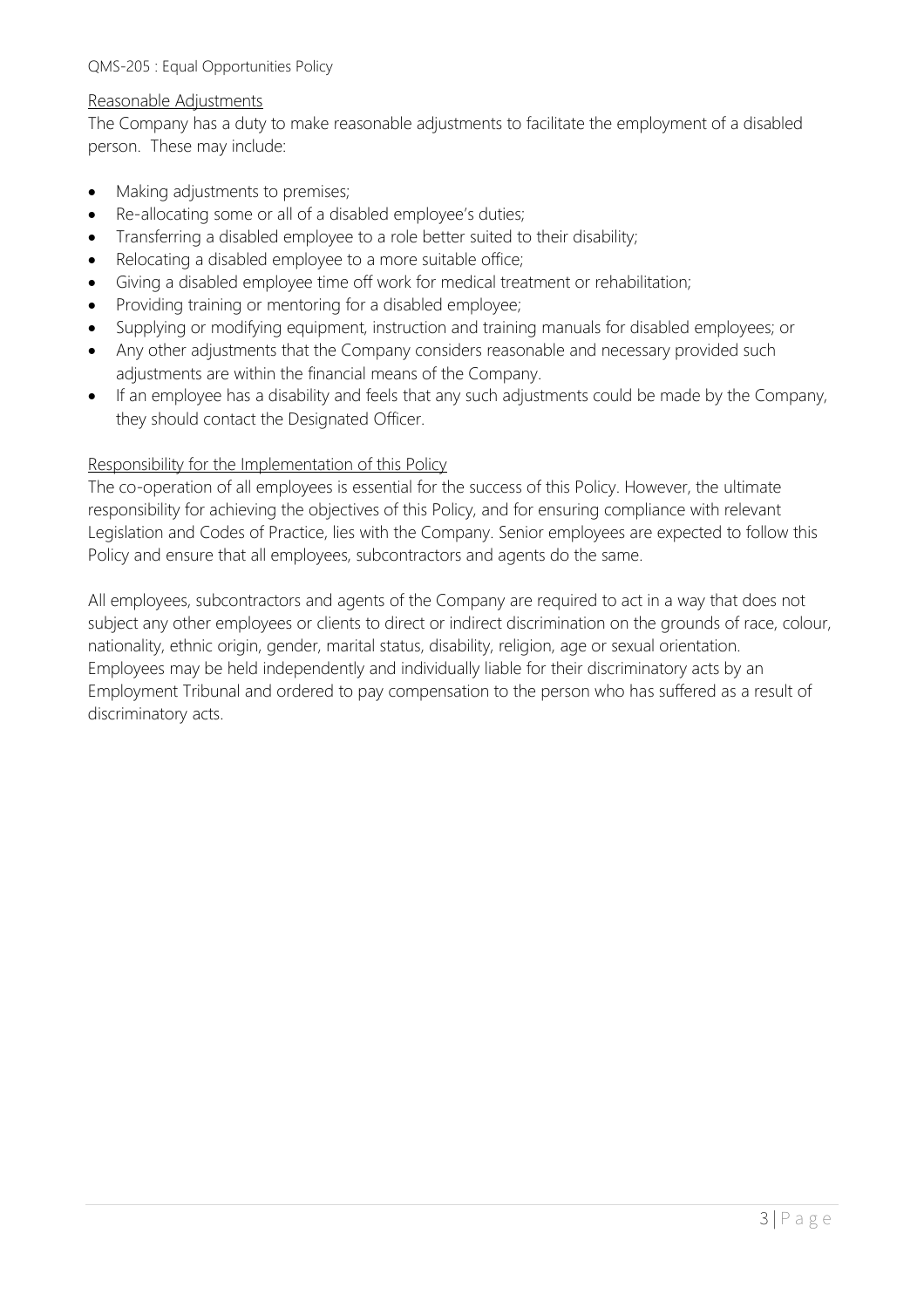#### Reasonable Adjustments

The Company has a duty to make reasonable adjustments to facilitate the employment of a disabled person. These may include:

- Making adjustments to premises;
- Re-allocating some or all of a disabled employee's duties;
- Transferring a disabled employee to a role better suited to their disability;
- Relocating a disabled employee to a more suitable office;
- Giving a disabled employee time off work for medical treatment or rehabilitation;
- Providing training or mentoring for a disabled employee;
- Supplying or modifying equipment, instruction and training manuals for disabled employees; or
- Any other adjustments that the Company considers reasonable and necessary provided such adjustments are within the financial means of the Company.
- If an employee has a disability and feels that any such adjustments could be made by the Company, they should contact the Designated Officer.

#### Responsibility for the Implementation of this Policy

The co-operation of all employees is essential for the success of this Policy. However, the ultimate responsibility for achieving the objectives of this Policy, and for ensuring compliance with relevant Legislation and Codes of Practice, lies with the Company. Senior employees are expected to follow this Policy and ensure that all employees, subcontractors and agents do the same.

All employees, subcontractors and agents of the Company are required to act in a way that does not subject any other employees or clients to direct or indirect discrimination on the grounds of race, colour, nationality, ethnic origin, gender, marital status, disability, religion, age or sexual orientation. Employees may be held independently and individually liable for their discriminatory acts by an Employment Tribunal and ordered to pay compensation to the person who has suffered as a result of discriminatory acts.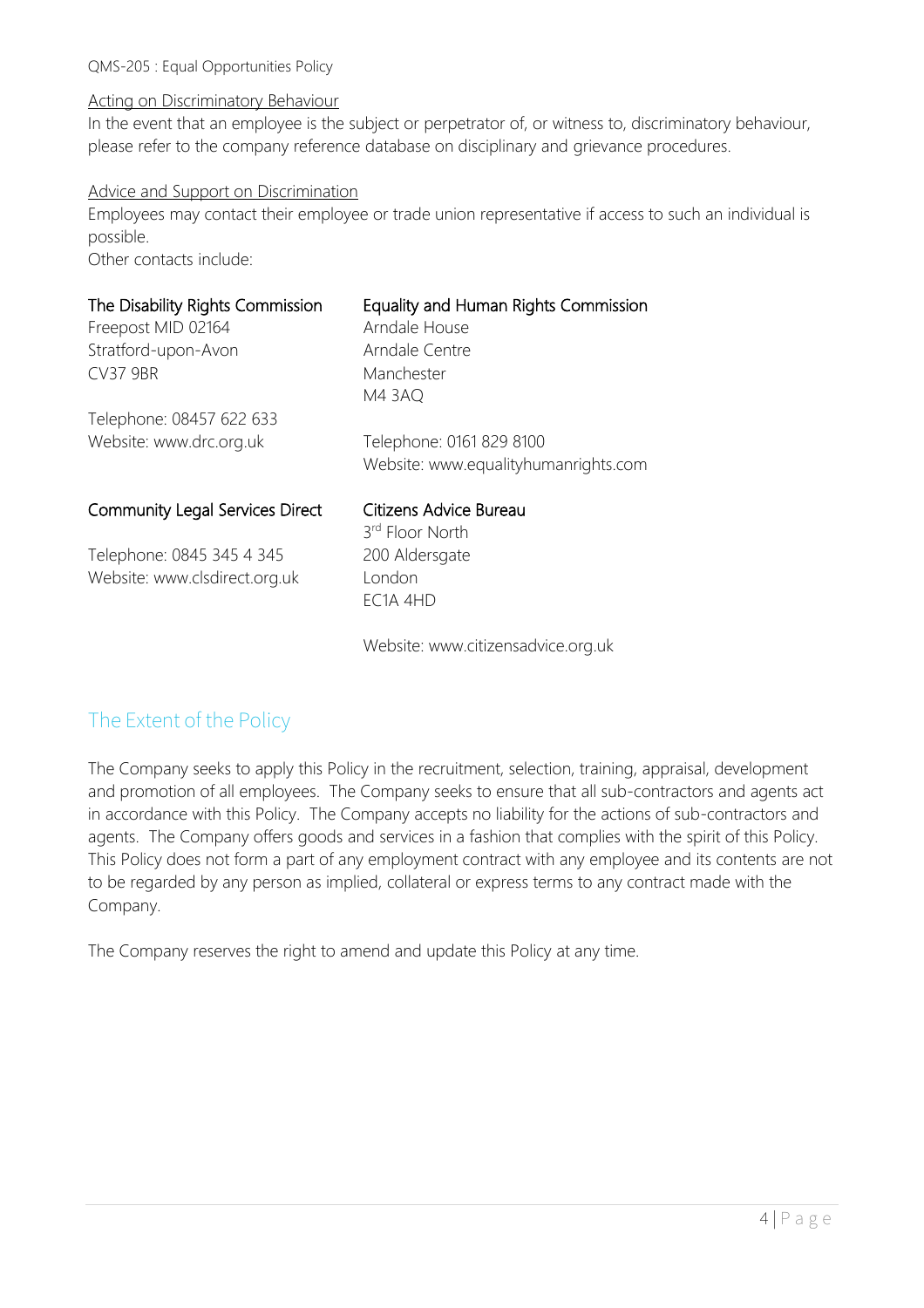#### Acting on Discriminatory Behaviour

In the event that an employee is the subject or perpetrator of, or witness to, discriminatory behaviour, please refer to the company reference database on disciplinary and grievance procedures.

#### Advice and Support on Discrimination

Employees may contact their employee or trade union representative if access to such an individual is possible.

Other contacts include:

| The Disability Rights Commission<br>Freepost MID 02164 | Equality and Human Rights Commission<br>Arndale House |
|--------------------------------------------------------|-------------------------------------------------------|
| Stratford-upon-Avon                                    | Arndale Centre                                        |
| <b>CV37 9BR</b>                                        | Manchester                                            |
|                                                        | <b>M4 3AQ</b>                                         |
| Telephone: 08457 622 633                               |                                                       |
| Website: www.drc.org.uk                                | Telephone: 0161 829 8100                              |
|                                                        | Website: www.equalityhumanrights.com                  |
| <b>Community Legal Services Direct</b>                 | Citizens Advice Bureau                                |
|                                                        | 3 <sup>rd</sup> Floor North                           |
| Telephone: 0845 345 4 345                              | 200 Aldersgate                                        |
| Website: www.clsdirect.org.uk                          | London                                                |
|                                                        | EC <sub>1</sub> A 4HD                                 |

Website: www.citizensadvice.org.uk

# The Extent of the Policy

The Company seeks to apply this Policy in the recruitment, selection, training, appraisal, development and promotion of all employees. The Company seeks to ensure that all sub-contractors and agents act in accordance with this Policy. The Company accepts no liability for the actions of sub-contractors and agents. The Company offers goods and services in a fashion that complies with the spirit of this Policy. This Policy does not form a part of any employment contract with any employee and its contents are not to be regarded by any person as implied, collateral or express terms to any contract made with the Company.

The Company reserves the right to amend and update this Policy at any time.